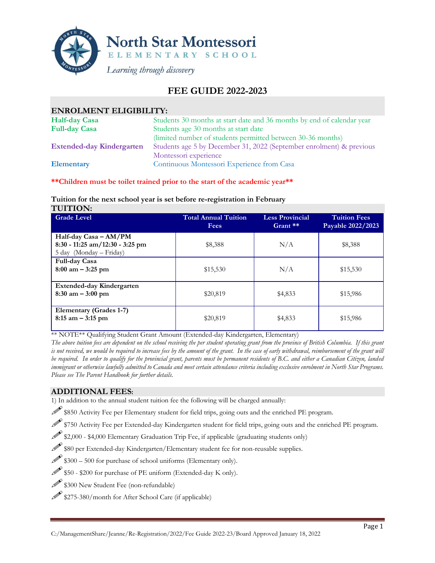

## **FEE GUIDE 2022-2023**

| <b>ENROLMENT ELIGIBILITY:</b>    |                                                                        |
|----------------------------------|------------------------------------------------------------------------|
| <b>Half-day Casa</b>             | Students 30 months at start date and 36 months by end of calendar year |
| <b>Full-day Casa</b>             | Students age 30 months at start date                                   |
|                                  | (limited number of students permitted between 30-36 months)            |
| <b>Extended-day Kindergarten</b> | Students age 5 by December 31, 2022 (September enrolment) & previous   |
|                                  | Montessori experience                                                  |
| <b>Elementary</b>                | Continuous Montessori Experience from Casa                             |

**\*\*Children must be toilet trained prior to the start of the academic year\*\***

#### **Tuition for the next school year is set before re-registration in February TUITION:**

| <b>Grade Level</b>                                                                  | Total Annual Tuition<br><b>Fees</b> | <b>Less Provincial</b><br>$G$ rant $*$ | <b>Tuition Fees</b><br>Payable 2022/2023 |
|-------------------------------------------------------------------------------------|-------------------------------------|----------------------------------------|------------------------------------------|
| Half-day Casa - AM/PM<br>8:30 - 11:25 am/12:30 - 3:25 pm<br>5 day (Monday – Friday) | \$8,388                             | N/A                                    | \$8,388                                  |
| Full-day Casa<br>$8:00 \text{ am} - 3:25 \text{ pm}$                                | \$15,530                            | N/A                                    | \$15,530                                 |
| Extended-day Kindergarten<br>$8:30$ am $-3:00$ pm                                   | \$20,819                            | \$4,833                                | \$15,986                                 |
| Elementary (Grades 1-7)<br>$8:15$ am $-3:15$ pm                                     | \$20,819                            | \$4,833                                | \$15,986                                 |

\*\* NOTE\*\* Qualifying Student Grant Amount (Extended-day Kindergarten, Elementary)

*The above tuition fees are dependent on the school receiving the per student operating grant from the province of British Columbia. If this grant is not received, we would be required to increase fees by the amount of the grant. In the case of early withdrawal, reimbursement of the grant will be required. In order to qualify for the provincial grant, parents must be permanent residents of B.C. and either a Canadian Citizen, landed immigrant or otherwise lawfully admitted to Canada and meet certain attendance criteria including exclusive enrolment in North Star Programs. Please see The Parent Handbook for further details.*

## **ADDITIONAL FEES:**

1) In addition to the annual student tuition fee the following will be charged annually:

 $\mathscr{P}$  \$850 Activity Fee per Elementary student for field trips, going outs and the enriched PE program.

\$750 Activity Fee per Extended-day Kindergarten student for field trips, going outs and the enriched PE program.

\$2,000 - \$4,000 Elementary Graduation Trip Fee, if applicable (graduating students only)

\$80 per Extended-day Kindergarten/Elementary student fee for non-reusable supplies.

 $\$\,300 - 500$  for purchase of school uniforms (Elementary only).

- \$50 \$200 for purchase of PE uniform (Extended-day K only).
- \$300 New Student Fee (non-refundable)
- \$275-380/month for After School Care (if applicable)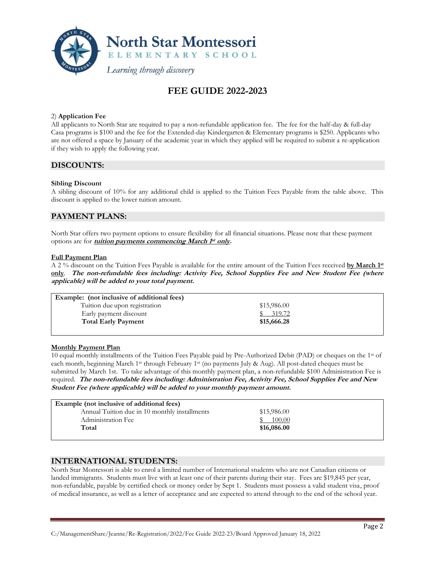

# **FEE GUIDE 2022-2023**

#### 2) **Application Fee**

All applicants to North Star are required to pay a non-refundable application fee. The fee for the half-day & full-day Casa programs is \$100 and the fee for the Extended-day Kindergarten & Elementary programs is \$250. Applicants who are not offered a space by January of the academic year in which they applied will be required to submit a re-application if they wish to apply the following year.

### **DISCOUNTS:**

#### **Sibling Discount**

A sibling discount of 10% for any additional child is applied to the Tuition Fees Payable from the table above. This discount is applied to the lower tuition amount.

## **PAYMENT PLANS:**

North Star offers two payment options to ensure flexibility for all financial situations. Please note that these payment options are for **tuition payments commencing March 1 st only.**

#### **Full Payment Plan**

A 2 % discount on the Tuition Fees Payable is available for the entire amount of the Tuition Fees received **by March 1 st only**. **The non-refundable fees including: Activity Fee, School Supplies Fee and New Student Fee (where applicable) will be added to your total payment.**

| Example: (not inclusive of additional fees) |             |
|---------------------------------------------|-------------|
| Tuition due upon registration               | \$15,986.00 |
| Early payment discount                      | \$319.72    |
| <b>Total Early Payment</b>                  | \$15,666.28 |
|                                             |             |

#### **Monthly Payment Plan**

10 equal monthly installments of the Tuition Fees Payable paid by Pre-Authorized Debit (PAD) or cheques on the 1st of each month, beginning March 1<sup>st</sup> through February 1<sup>st</sup> (no payments July & Aug). All post-dated cheques must be submitted by March 1st. To take advantage of this monthly payment plan, a non-refundable \$100 Administration Fee is required. **The non-refundable fees including: Administration Fee, Activity Fee, School Supplies Fee and New Student Fee (where applicable) will be added to your monthly payment amount.**

| Example (not inclusive of additional fees)    |             |  |
|-----------------------------------------------|-------------|--|
| Annual Tuition due in 10 monthly installments | \$15,986.00 |  |
| Administration Fee                            | 100.00      |  |
| Total                                         | \$16,086.00 |  |
|                                               |             |  |

## **INTERNATIONAL STUDENTS:**

North Star Montessori is able to enrol a limited number of International students who are not Canadian citizens or landed immigrants. Students must live with at least one of their parents during their stay. Fees are \$19,845 per year, non-refundable, payable by certified check or money order by Sept 1. Students must possess a valid student visa, proof of medical insurance, as well as a letter of acceptance and are expected to attend through to the end of the school year.